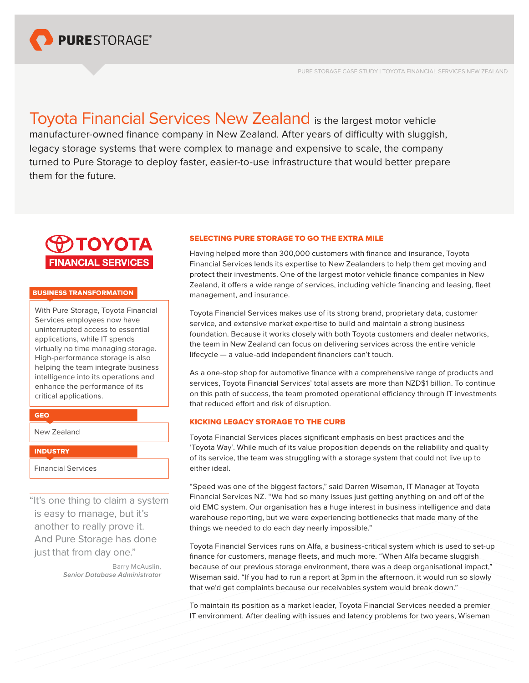

Toyota Financial Services New Zealand is the largest motor vehicle manufacturer-owned finance company in New Zealand. After years of difficulty with sluggish, legacy storage systems that were complex to manage and expensive to scale, the company turned to Pure Storage to deploy faster, easier-to-use infrastructure that would better prepare them for the future.



## BUSINESS TRANSFORMATION

With Pure Storage, Toyota Financial Services employees now have uninterrupted access to essential applications, while IT spends virtually no time managing storage. High-performance storage is also helping the team integrate business intelligence into its operations and enhance the performance of its critical applications.

# GEO

New Zealand

## **INDUSTRY**

Financial Services

"It's one thing to claim a system is easy to manage, but it's another to really prove it. And Pure Storage has done just that from day one."

> Barry McAuslin, *Senior Database Administrator*

# SELECTING PURE STORAGE TO GO THE EXTRA MILE

Having helped more than 300,000 customers with finance and insurance, Toyota Financial Services lends its expertise to New Zealanders to help them get moving and protect their investments. One of the largest motor vehicle finance companies in New Zealand, it offers a wide range of services, including vehicle financing and leasing, fleet management, and insurance.

Toyota Financial Services makes use of its strong brand, proprietary data, customer service, and extensive market expertise to build and maintain a strong business foundation. Because it works closely with both Toyota customers and dealer networks, the team in New Zealand can focus on delivering services across the entire vehicle lifecycle — a value-add independent financiers can't touch.

As a one-stop shop for automotive finance with a comprehensive range of products and services, Toyota Financial Services' total assets are more than NZD\$1 billion. To continue on this path of success, the team promoted operational efficiency through IT investments that reduced effort and risk of disruption.

# KICKING LEGACY STORAGE TO THE CURB

Toyota Financial Services places significant emphasis on best practices and the 'Toyota Way'. While much of its value proposition depends on the reliability and quality of its service, the team was struggling with a storage system that could not live up to either ideal.

"Speed was one of the biggest factors," said Darren Wiseman, IT Manager at Toyota Financial Services NZ. "We had so many issues just getting anything on and off of the old EMC system. Our organisation has a huge interest in business intelligence and data warehouse reporting, but we were experiencing bottlenecks that made many of the things we needed to do each day nearly impossible."

Toyota Financial Services runs on Alfa, a business-critical system which is used to set-up finance for customers, manage fleets, and much more. "When Alfa became sluggish because of our previous storage environment, there was a deep organisational impact," Wiseman said. "If you had to run a report at 3pm in the afternoon, it would run so slowly that we'd get complaints because our receivables system would break down."

To maintain its position as a market leader, Toyota Financial Services needed a premier IT environment. After dealing with issues and latency problems for two years, Wiseman